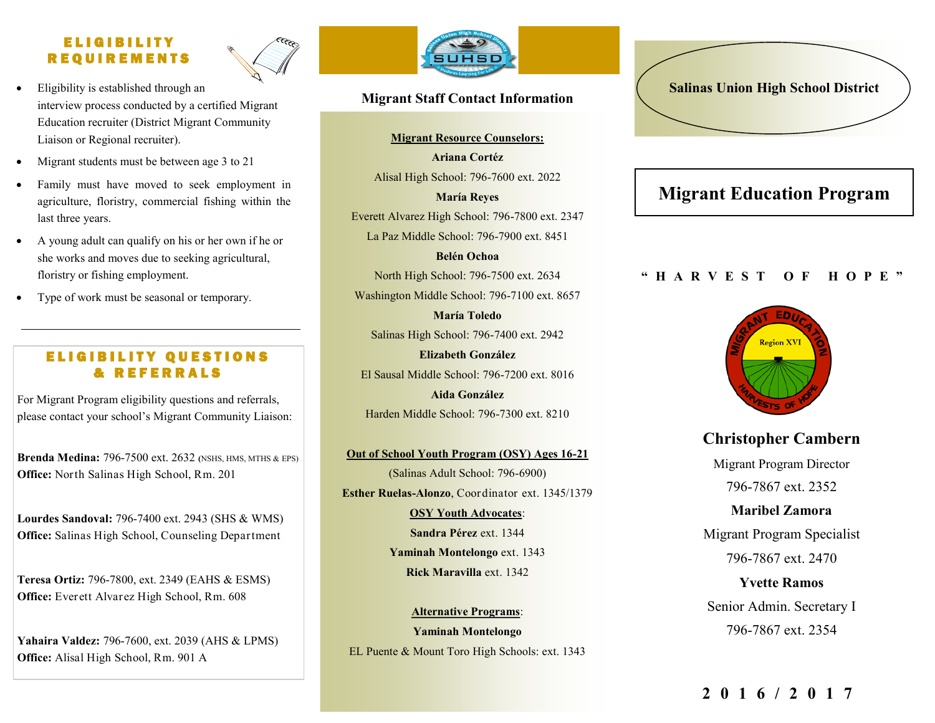## E L I G I B I L I T Y R E Q U I R E M E N T S



- Eligibility is established through an interview process conducted by a certified Migrant Education recruiter (District Migrant Community Liaison or Regional recruiter).
- Migrant students must be between age 3 to 21
- Family must have moved to seek employment in agriculture, floristry, commercial fishing within the last three years.
- A young adult can qualify on his or her own if he or she works and moves due to seeking agricultural, floristry or fishing employment.
- Type of work must be seasonal or temporary.

## ELIGIBILITY QUESTIONS & R E F E R R A L S

For Migrant Program eligibility questions and referrals, please contact your school's Migrant Community Liaison:

**Brenda Medina:** 796-7500 ext. 2632 *(NSHS, MTHS & EPS)* **Office:** North Salinas High School, Rm. 201

**Lourdes Sandoval:** 796-7400 ext. 2943 (SHS & WMS) **Office:** Salinas High School, Counseling Department

**Teresa Ortiz:** 796-7800, ext. 2349 (EAHS & ESMS) **Office:** Everett Alvarez High School, Rm. 608

**Yahaira Valdez:** 796-7600, ext. 2039 (AHS & LPMS) **Office:** Alisal High School, Rm. 901 A



## **Migrant Staff Contact Information**

**Migrant Resource Counselors: Ariana Cortéz**  Alisal High School: 796-7600 ext. 2022

**María Reyes** Everett Alvarez High School: 796-7800 ext. 2347 La Paz Middle School: 796-7900 ext. 8451

**Belén Ochoa**  North High School: 796-7500 ext. 2634 Washington Middle School: 796-7100 ext. 8657

**María Toledo**  Salinas High School: 796-7400 ext. 2942

**Elizabeth González** El Sausal Middle School: 796-7200 ext. 8016 **Aida González**

Harden Middle School: 796-7300 ext. 8210

**Out of School Youth Program (OSY) Ages 16-21** (Salinas Adult School: 796-6900) **Esther Ruelas-Alonzo**, Coordinator ext. 1345/1379 **OSY Youth Advocates**: **Sandra Pérez** ext. 1344 **Yaminah Montelongo** ext. 1343

**Rick Maravilla** ext. 1342

**Alternative Programs**: **Yaminah Montelongo** EL Puente & Mount Toro High Schools: ext. 1343

# **Salinas Union High School District**

# **Migrant Education Program**

### **" H A R V E S T O F H O P E "**



**Christopher Cambern** Migrant Program Director 796-7867 ext. 2352

**Maribel Zamora** Migrant Program Specialist 796-7867 ext. 2470

**Yvette Ramos**  Senior Admin. Secretary I 796-7867 ext. 2354